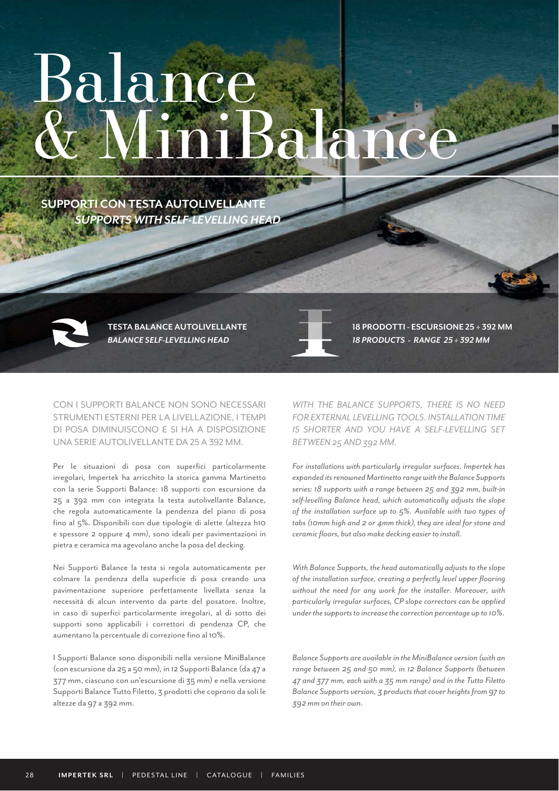## Balance & MiniBalance

 *SUPPORTS WITH SELF-LEVELLING HEAD* **SUPPORTI CON TESTA AUTOLIVELLANTE** 



*BALANCE SELF-LEVELLING HEAD* **TESTA BALANCE AUTOLIVELLANTE**

CON I SUPPORTI BALANCE NON SONO NECESSARI STRUMENTI ESTERNI PER LA LIVELLAZIONE, I TEMPI DI POSA DIMINUISCONO E SI HA A DISPOSIZIONE UNA SERIE AUTOLIVELLANTE DA 25 A 392 MM.

Per le situazioni di posa con superfici particolarmente irregolari, Impertek ha arricchito la storica gamma Martinetto con la serie Supporti Balance: 18 supporti con escursione da 25 a 392 mm con integrata la testa autolivellante Balance, che regola automaticamente la pendenza del piano di posa fino al 5%. Disponibili con due tipologie di alette (altezza h10 e spessore 2 oppure 4 mm), sono ideali per pavimentazioni in pietra e ceramica ma agevolano anche la posa del decking.

Nei Supporti Balance la testa si regola automaticamente per colmare la pendenza della superficie di posa creando una pavimentazione superiore perfettamente livellata senza la necessità di alcun intervento da parte del posatore. Inoltre, in caso di superfici particolarmente irregolari, al di sotto dei supporti sono applicabili i correttori di pendenza CP, che aumentano la percentuale di correzione fino al 10%.

I Supporti Balance sono disponibili nella versione MiniBalance (con escursione da 25 a 50 mm), in 12 Supporti Balance (da 47 a 377 mm, ciascuno con un'escursione di 35 mm) e nella versione Supporti Balance Tutto Filetto, 3 prodotti che coprono da soli le altezze da 97 a 392 mm.

*18 PRODUCTS - RANGE 25 ÷ 392 MM* **18 PRODOTTI - ESCURSIONE 25 ÷ 392 MM**

*WITH THE BALANCE SUPPORTS, THERE IS NO NEED FOR EXTERNAL LEVELLING TOOLS. INSTALLATION TIME IS SHORTER AND YOU HAVE A SELF-LEVELLING SET BETWEEN 25 AND 392 MM.*

*For installations with particularly irregular surfaces, Impertek has expanded its renowned Martinetto range with the Balance Supports series: 18 supports with a range between 25 and 392 mm, built-in self-levelling Balance head, which automatically adjusts the slope of the installation surface up to 5%. Available with two types of tabs (10mm high and 2 or 4mm thick), they are ideal for stone and ceramic floors, but also make decking easier to install.*

*With Balance Supports, the head automatically adjusts to the slope of the installation surface, creating a perfectly level upper flooring without the need for any work for the installer. Moreover, with particularly irregular surfaces, CP slope correctors can be applied under the supports to increase the correction percentage up to 10%.*

*Balance Supports are available in the MiniBalance version (with an range between 25 and 50 mm), in 12 Balance Supports (between 47 and 377 mm, each with a 35 mm range) and in the Tutto Filetto Balance Supports version, 3 products that cover heights from 97 to 392 mm on their own.*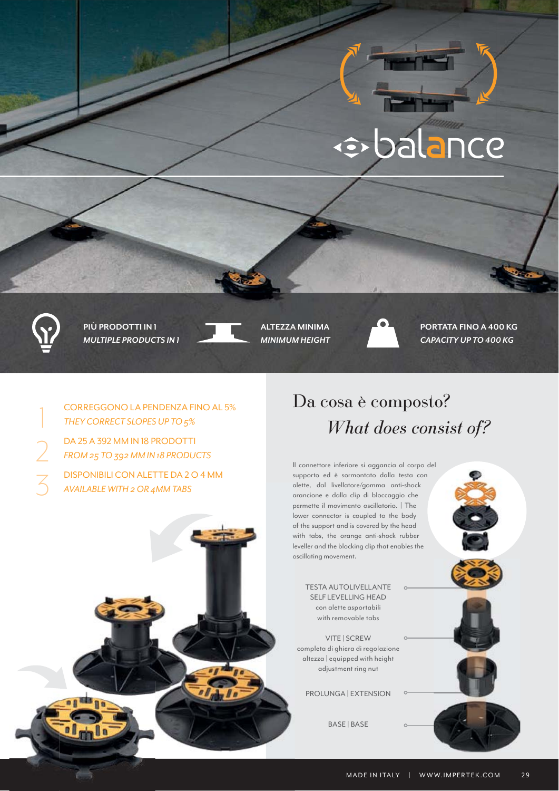# ··balance



*MULTIPLE PRODUCTS IN 1 MINIMUM HEIGHT CAPACITY UP TO 400 KG*



**PIÙ PRODOTTI IN 1 ALTEZZA MINIMA PORTATA FINO A 400 KG** 

CORREGGONO LA PENDENZA FINO AL 5%<br>THEY CORRECT SLOPES UP TO 5%<br>DA 25 A 392 MM IN 18 PRODOTTI *THEY CORRECT SLOPES UP TO 5%*

DA 25 A 392 MM IN 18 PRODOTTI<br>FROM 25 TO 392 MM IN 18 PRODU *FROM 25 TO 392 MM IN 18 PRODUCTS*

3 DISPONIBILI CON ALETTE DA 2 O 4 MM *AVAILABLE WITH 2 OR 4MM TABS*

#### *What does consist of?* Da cosa è composto?

Il connettore inferiore si aggancia al corpo del supporto ed è sormontato dalla testa con alette, dal livellatore/gomma anti-shock arancione e dalla clip di bloccaggio che permette il movimento oscillatorio. | The lower connector is coupled to the body of the support and is covered by the head with tabs, the orange anti-shock rubber leveller and the blocking clip that enables the oscillating movement.

TESTA AUTOLIVELLANTE SELF LEVELLING HEAD con alette asportabili with removable tabs

VITE | SCREW completa di ghiera di regolazione altezza | equipped with height adjustment ring nut

PROLUNGA | EXTENSION

BASE | BASE

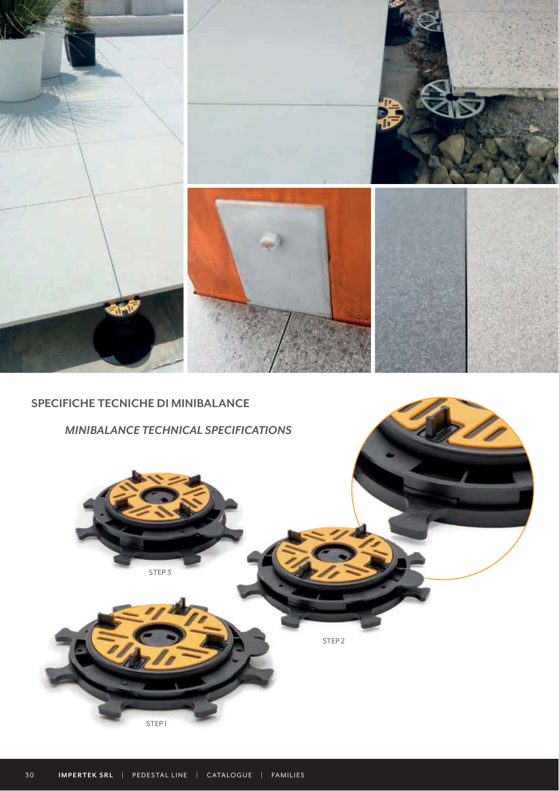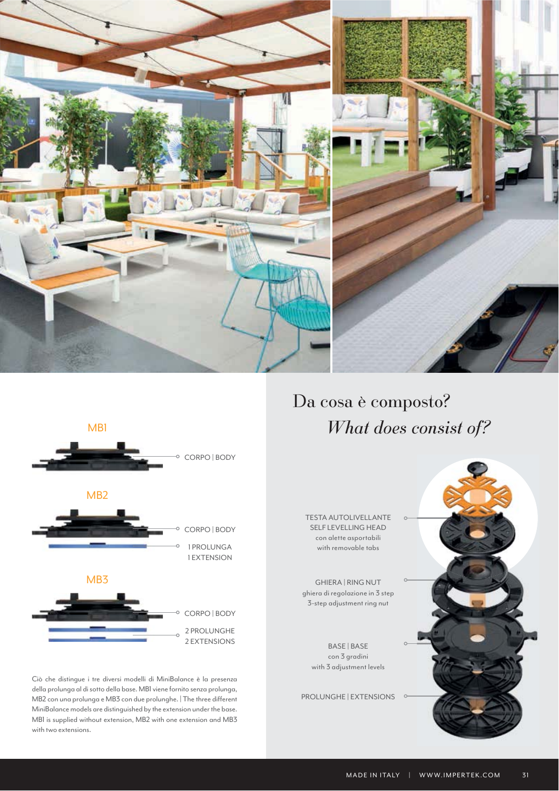



Ciò che distingue i tre diversi modelli di MiniBalance è la presenza della prolunga al di sotto della base. MB1 viene fornito senza prolunga, MB2 con una prolunga e MB3 con due prolunghe. | The three different MiniBalance models are distinguished by the extension under the base. MB1 is supplied without extension, MB2 with one extension and MB3 with two extensions.

 *What does consist of?* Da cosa è composto?

TESTA AUTOLIVELLANTE SELF LEVELLING HEAD con alette asportabili with removable tabs

GHIERA | RING NUT ghiera di regolazione in 3 step 3-step adjustment ring nut

> BASE | BASE con 3 gradini with 3 adjustment levels

PROLUNGHE | EXTENSIONS

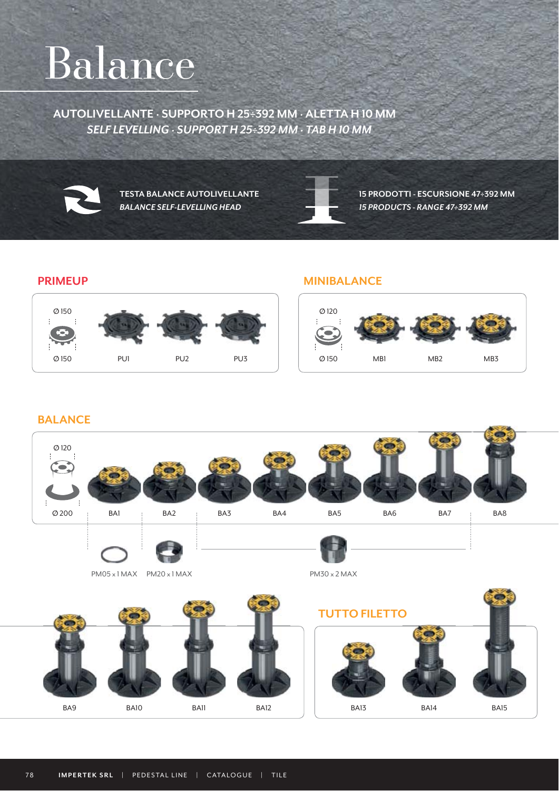### Balance

 *SELF LEVELLING · SUPPORT H 25÷392 MM · TAB H 10 MM* **AUTOLIVELLANTE · SUPPORTO H 25÷392 MM · ALETTA H 10 MM**



*BALANCE SELF-LEVELLING HEAD 15 PRODUCTS - RANGE 47÷392 MM*

**TESTA BALANCE AUTOLIVELLANTE 15 PRODOTTI - ESCURSIONE 47÷392 MM**

#### **PRIMEUP**



#### **MINIBALANCE**



#### **BALANCE**